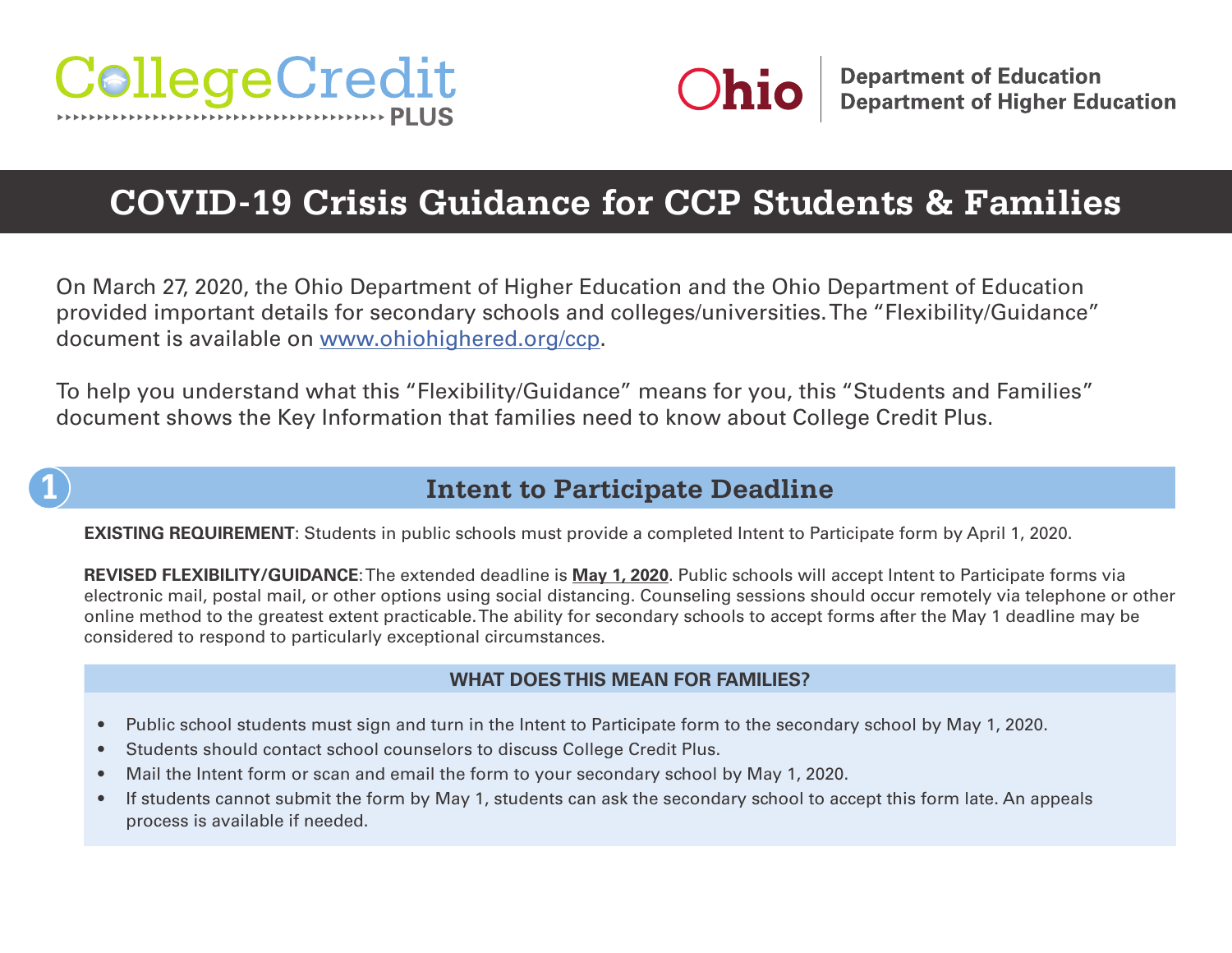



# **COVID-19 Crisis Guidance for CCP Students & Families**

On March 27, 2020, the Ohio Department of Higher Education and the Ohio Department of Education provided important details for secondary schools and colleges/universities. The "Flexibility/Guidance" document is available on [www.ohiohighered.org/ccp.](http://www.ohiohighered.org/ccp)

To help you understand what this "Flexibility/Guidance" means for you, this "Students and Families" document shows the Key Information that families need to know about College Credit Plus.

### **1 Intent to Participate Deadline**

**EXISTING REQUIREMENT**: Students in public schools must provide a completed Intent to Participate form by April 1, 2020.

**REVISED FLEXIBILITY/GUIDANCE**: The extended deadline is **May 1, 2020**. Public schools will accept Intent to Participate forms via electronic mail, postal mail, or other options using social distancing. Counseling sessions should occur remotely via telephone or other online method to the greatest extent practicable. The ability for secondary schools to accept forms after the May 1 deadline may be considered to respond to particularly exceptional circumstances.

- Public school students must sign and turn in the Intent to Participate form to the secondary school by May 1, 2020.
- Students should contact school counselors to discuss College Credit Plus.
- Mail the Intent form or scan and email the form to your secondary school by May 1, 2020.
- If students cannot submit the form by May 1, students can ask the secondary school to accept this form late. An appeals process is available if needed.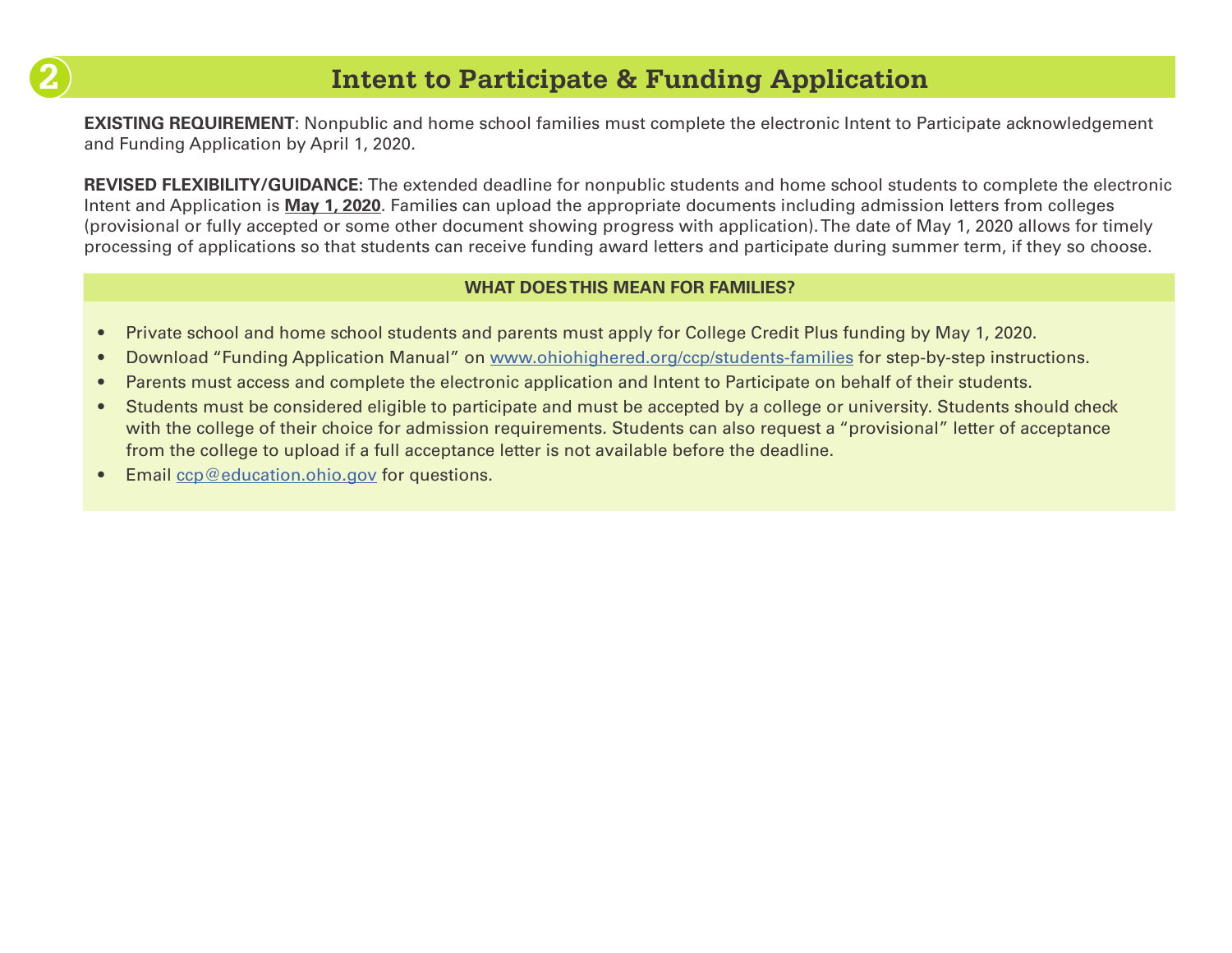

## **2 Intent to Participate & Funding Application**

**EXISTING REQUIREMENT:** Nonpublic and home school families must complete the electronic Intent to Participate acknowledgement and Funding Application by April 1, 2020.

**REVISED FLEXIBILITY/GUIDANCE:** The extended deadline for nonpublic students and home school students to complete the electronic Intent and Application is **May 1, 2020**. Families can upload the appropriate documents including admission letters from colleges (provisional or fully accepted or some other document showing progress with application). The date of May 1, 2020 allows for timely processing of applications so that students can receive funding award letters and participate during summer term, if they so choose.

- Private school and home school students and parents must apply for College Credit Plus funding by May 1, 2020.
- Download "Funding Application Manual" on [www.ohiohighered.org/ccp/students-families](http://www.ohiohighered.org/ccp/students-families) for step-by-step instructions.
- Parents must access and complete the electronic application and Intent to Participate on behalf of their students.
- Students must be considered eligible to participate and must be accepted by a college or university. Students should check with the college of their choice for admission requirements. Students can also request a "provisional" letter of acceptance from the college to upload if a full acceptance letter is not available before the deadline.
- Email [ccp@education.ohio.gov](mailto:ccp@education.ohio.gov) for questions.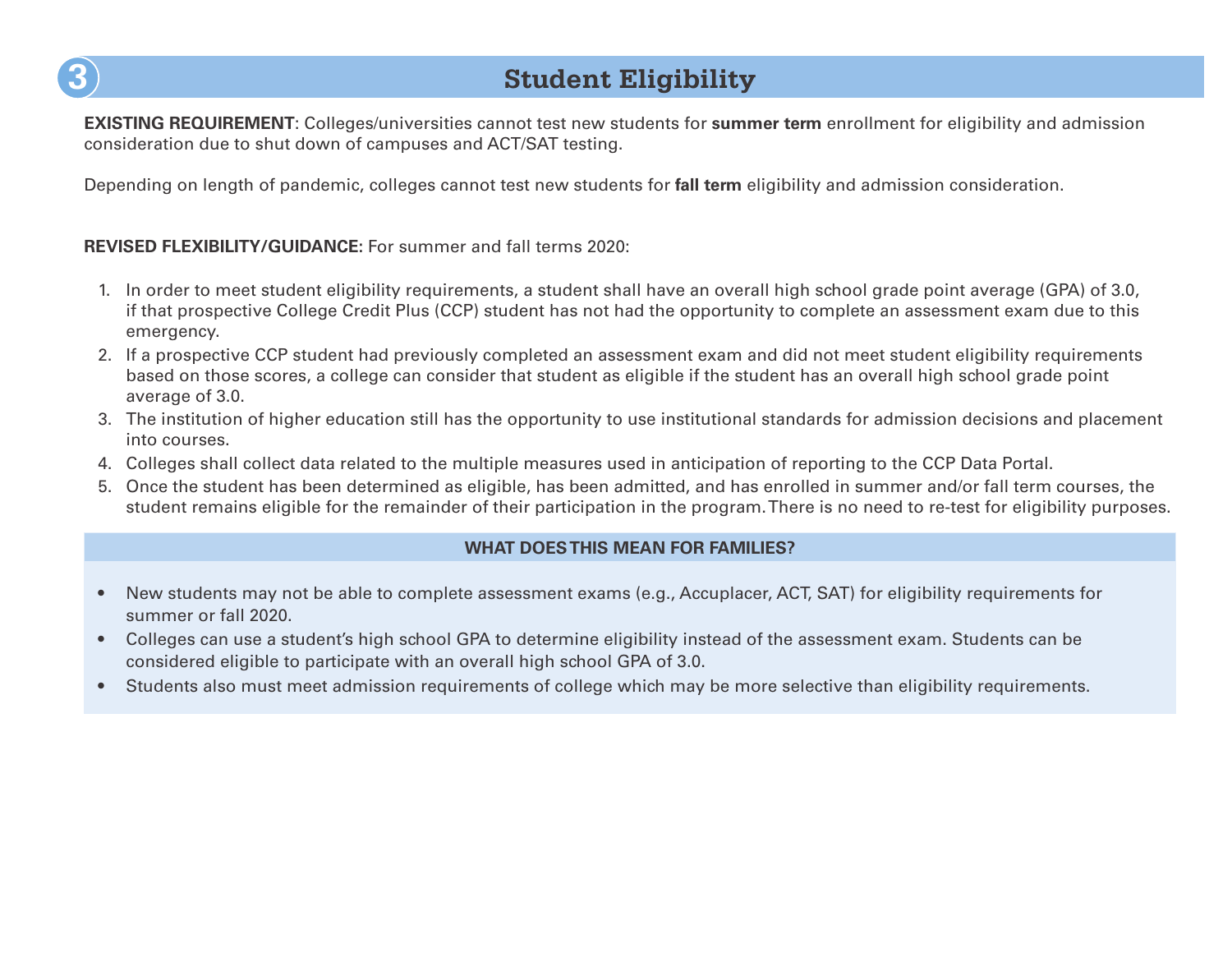

## **3 Student Eligibility**

**EXISTING REQUIREMENT**: Colleges/universities cannot test new students for **summer term** enrollment for eligibility and admission consideration due to shut down of campuses and ACT/SAT testing.

Depending on length of pandemic, colleges cannot test new students for **fall term** eligibility and admission consideration.

#### **REVISED FLEXIBILITY/GUIDANCE:** For summer and fall terms 2020:

- 1. In order to meet student eligibility requirements, a student shall have an overall high school grade point average (GPA) of 3.0, if that prospective College Credit Plus (CCP) student has not had the opportunity to complete an assessment exam due to this emergency.
- 2. If a prospective CCP student had previously completed an assessment exam and did not meet student eligibility requirements based on those scores, a college can consider that student as eligible if the student has an overall high school grade point average of 3.0.
- 3. The institution of higher education still has the opportunity to use institutional standards for admission decisions and placement into courses.
- 4. Colleges shall collect data related to the multiple measures used in anticipation of reporting to the CCP Data Portal.
- 5. Once the student has been determined as eligible, has been admitted, and has enrolled in summer and/or fall term courses, the student remains eligible for the remainder of their participation in the program. There is no need to re-test for eligibility purposes.

- New students may not be able to complete assessment exams (e.g., Accuplacer, ACT, SAT) for eligibility requirements for summer or fall 2020.
- Colleges can use a student's high school GPA to determine eligibility instead of the assessment exam. Students can be considered eligible to participate with an overall high school GPA of 3.0.
- Students also must meet admission requirements of college which may be more selective than eligibility requirements.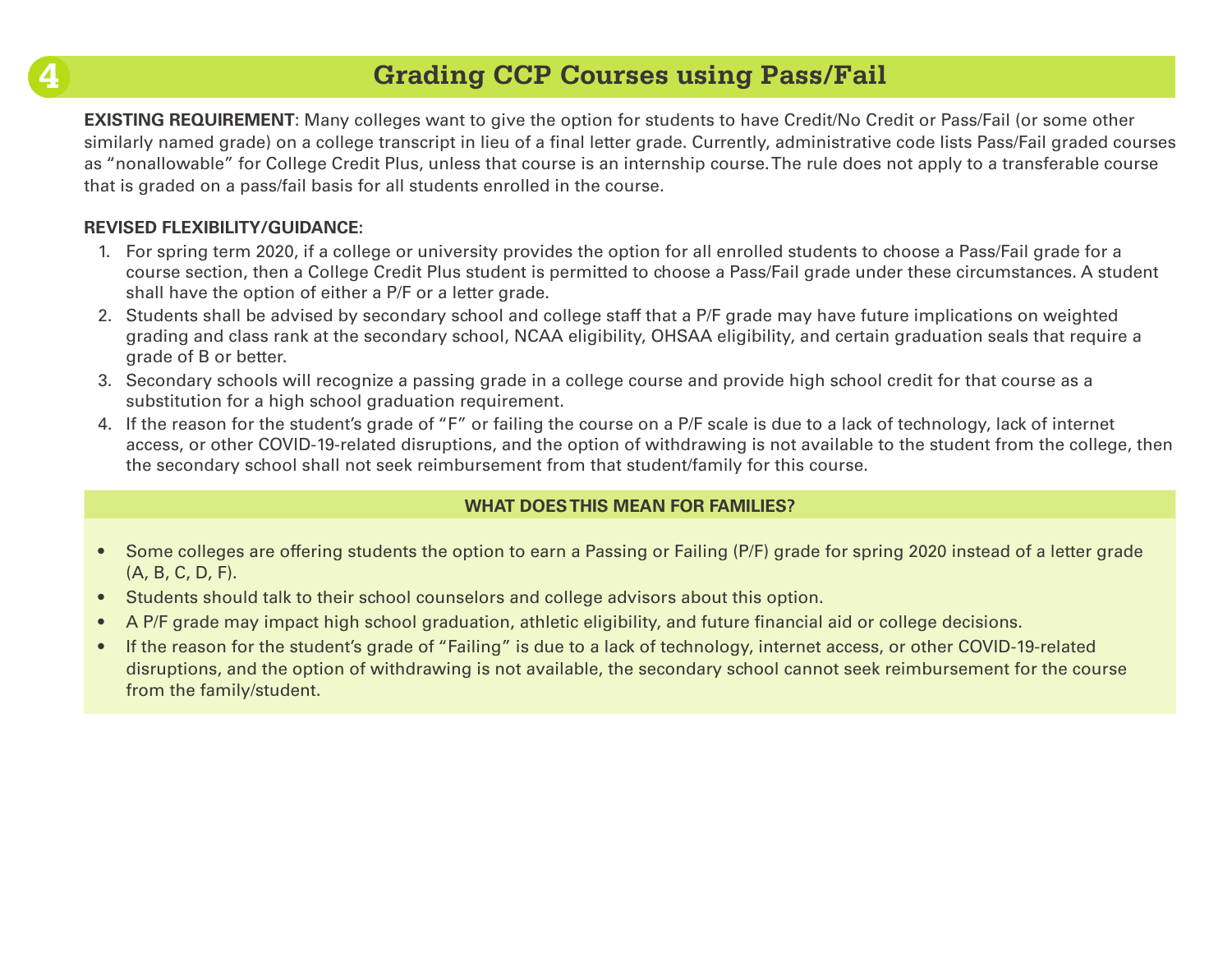### **4 Grading CCP Courses using Pass/Fail**

**EXISTING REQUIREMENT:** Many colleges want to give the option for students to have Credit/No Credit or Pass/Fail (or some other similarly named grade) on a college transcript in lieu of a final letter grade. Currently, administrative code lists Pass/Fail graded courses as "nonallowable" for College Credit Plus, unless that course is an internship course. The rule does not apply to a transferable course that is graded on a pass/fail basis for all students enrolled in the course.

### **REVISED FLEXIBILITY/GUIDANCE:**

- 1. For spring term 2020, if a college or university provides the option for all enrolled students to choose a Pass/Fail grade for a course section, then a College Credit Plus student is permitted to choose a Pass/Fail grade under these circumstances. A student shall have the option of either a P/F or a letter grade.
- 2. Students shall be advised by secondary school and college staff that a P/F grade may have future implications on weighted grading and class rank at the secondary school, NCAA eligibility, OHSAA eligibility, and certain graduation seals that require a grade of B or better.
- 3. Secondary schools will recognize a passing grade in a college course and provide high school credit for that course as a substitution for a high school graduation requirement.
- 4. If the reason for the student's grade of "F" or failing the course on a P/F scale is due to a lack of technology, lack of internet access, or other COVID-19-related disruptions, and the option of withdrawing is not available to the student from the college, then the secondary school shall not seek reimbursement from that student/family for this course.

- Some colleges are offering students the option to earn a Passing or Failing (P/F) grade for spring 2020 instead of a letter grade (A, B, C, D, F).
- Students should talk to their school counselors and college advisors about this option.
- A P/F grade may impact high school graduation, athletic eligibility, and future financial aid or college decisions.
- If the reason for the student's grade of "Failing" is due to a lack of technology, internet access, or other COVID-19-related disruptions, and the option of withdrawing is not available, the secondary school cannot seek reimbursement for the course from the family/student.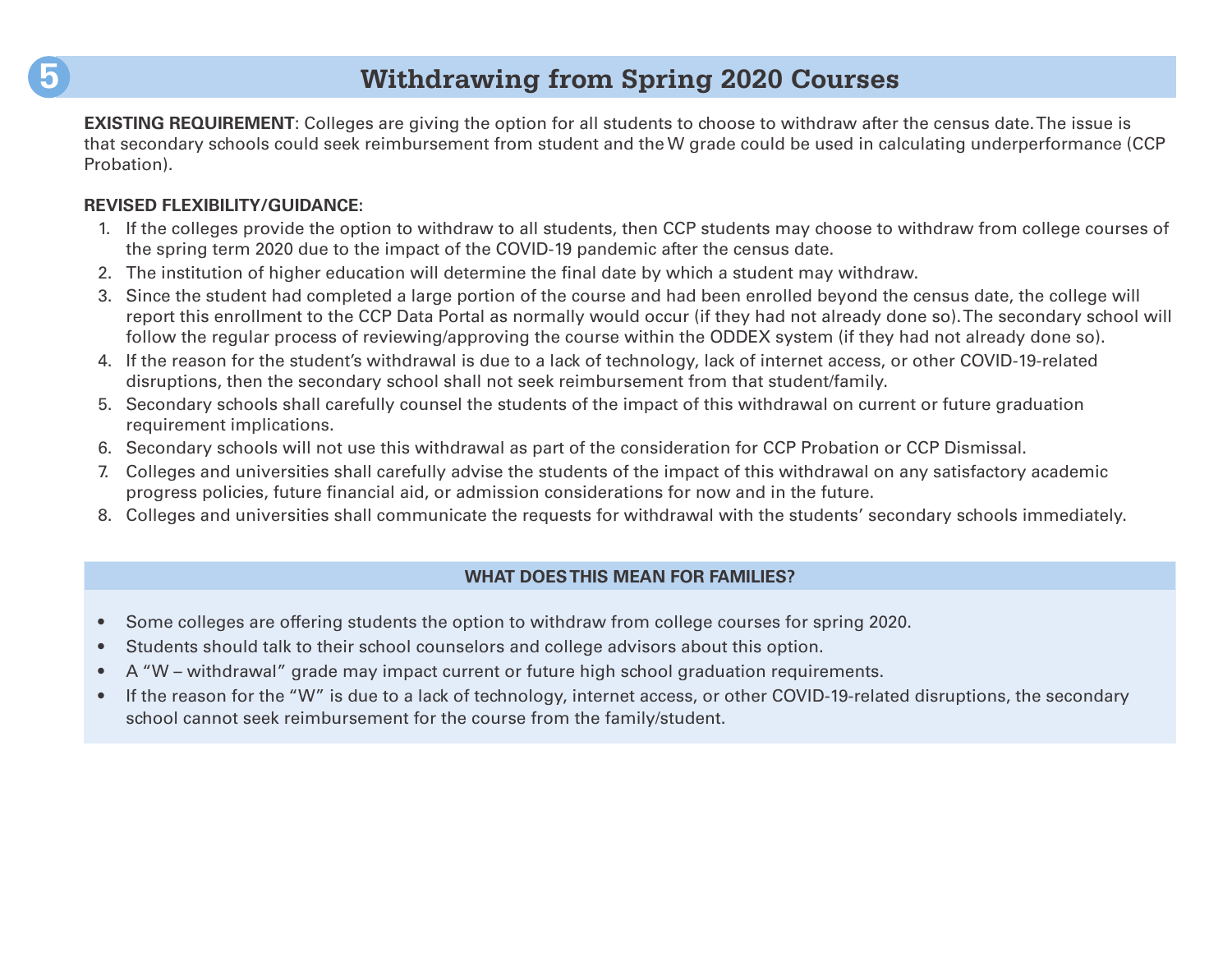### **5 Withdrawing from Spring 2020 Courses**

**EXISTING REQUIREMENT:** Colleges are giving the option for all students to choose to withdraw after the census date. The issue is that secondary schools could seek reimbursement from student and the W grade could be used in calculating underperformance (CCP Probation).

#### **REVISED FLEXIBILITY/GUIDANCE:**

- 1. If the colleges provide the option to withdraw to all students, then CCP students may choose to withdraw from college courses of the spring term 2020 due to the impact of the COVID-19 pandemic after the census date.
- 2. The institution of higher education will determine the final date by which a student may withdraw.
- 3. Since the student had completed a large portion of the course and had been enrolled beyond the census date, the college will report this enrollment to the CCP Data Portal as normally would occur (if they had not already done so). The secondary school will follow the regular process of reviewing/approving the course within the ODDEX system (if they had not already done so).
- 4. If the reason for the student's withdrawal is due to a lack of technology, lack of internet access, or other COVID-19-related disruptions, then the secondary school shall not seek reimbursement from that student/family.
- 5. Secondary schools shall carefully counsel the students of the impact of this withdrawal on current or future graduation requirement implications.
- 6. Secondary schools will not use this withdrawal as part of the consideration for CCP Probation or CCP Dismissal.
- 7. Colleges and universities shall carefully advise the students of the impact of this withdrawal on any satisfactory academic progress policies, future financial aid, or admission considerations for now and in the future.
- 8. Colleges and universities shall communicate the requests for withdrawal with the students' secondary schools immediately.

- Some colleges are offering students the option to withdraw from college courses for spring 2020.
- Students should talk to their school counselors and college advisors about this option.
- A "W withdrawal" grade may impact current or future high school graduation requirements.
- If the reason for the "W" is due to a lack of technology, internet access, or other COVID-19-related disruptions, the secondary school cannot seek reimbursement for the course from the family/student.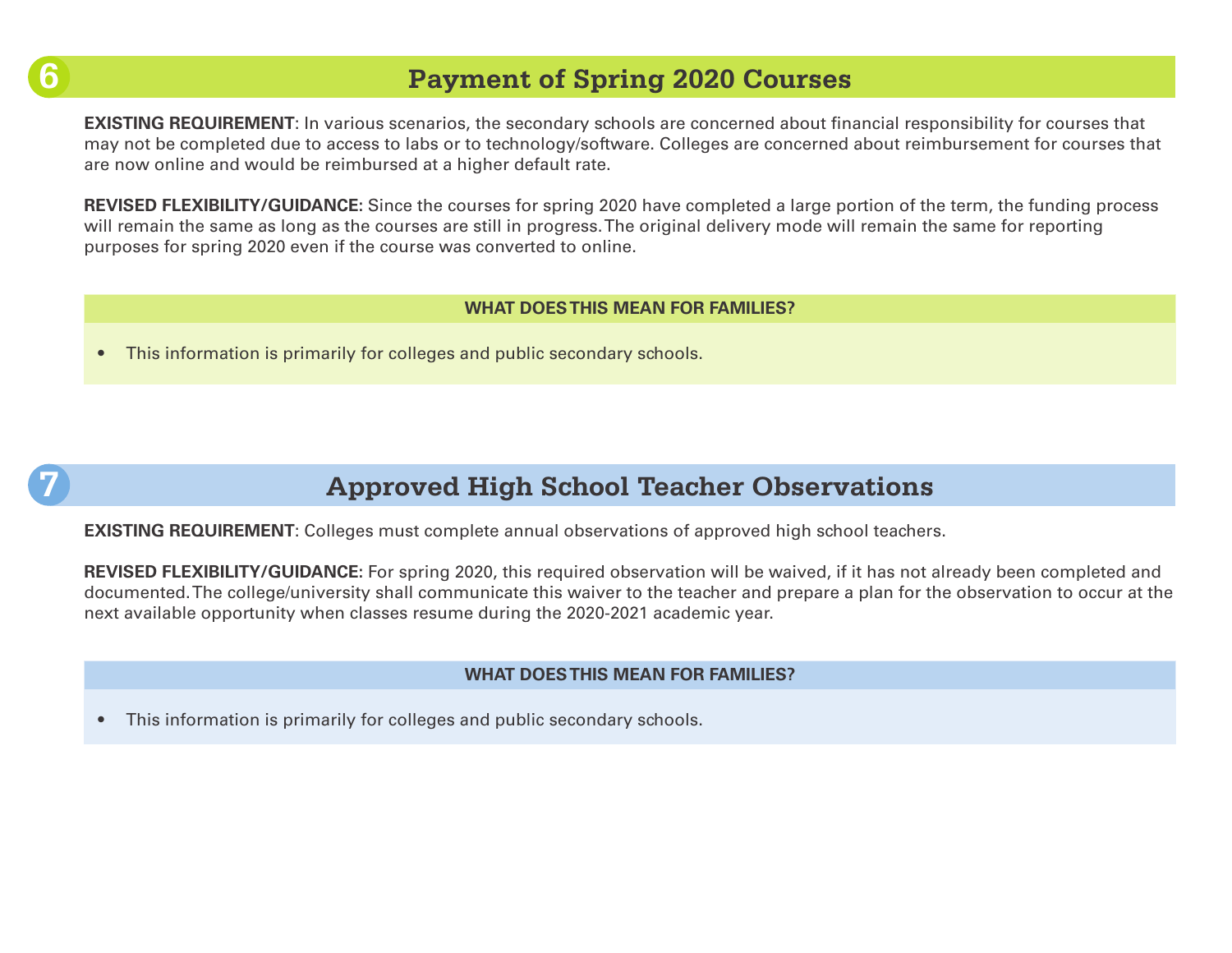# **6**

**7**

### **Payment of Spring 2020 Courses**

**EXISTING REQUIREMENT:** In various scenarios, the secondary schools are concerned about financial responsibility for courses that may not be completed due to access to labs or to technology/software. Colleges are concerned about reimbursement for courses that are now online and would be reimbursed at a higher default rate.

**REVISED FLEXIBILITY/GUIDANCE:** Since the courses for spring 2020 have completed a large portion of the term, the funding process will remain the same as long as the courses are still in progress. The original delivery mode will remain the same for reporting purposes for spring 2020 even if the course was converted to online.

#### **WHAT DOES THIS MEAN FOR FAMILIES?**

• This information is primarily for colleges and public secondary schools.



## **Approved High School Teacher Observations**

**EXISTING REQUIREMENT**: Colleges must complete annual observations of approved high school teachers.

**REVISED FLEXIBILITY/GUIDANCE:** For spring 2020, this required observation will be waived, if it has not already been completed and documented. The college/university shall communicate this waiver to the teacher and prepare a plan for the observation to occur at the next available opportunity when classes resume during the 2020-2021 academic year.

#### **WHAT DOES THIS MEAN FOR FAMILIES?**

• This information is primarily for colleges and public secondary schools.